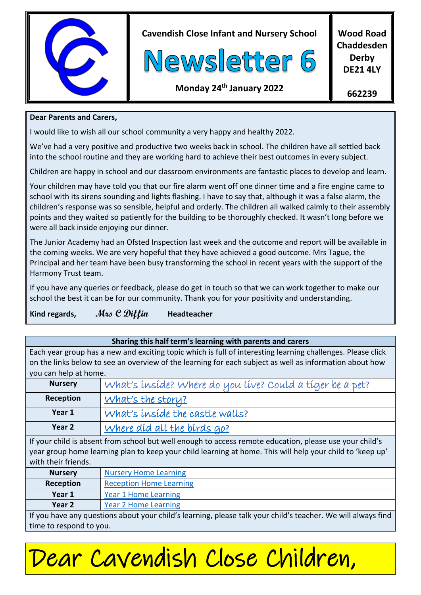

**Cavendish Close Infant and Nursery School**



**Wood Road Chaddesden Derby DE21 4LY**

# **Monday 24 th January 2022**

**662239**

### **Dear Parents and Carers,**

I would like to wish all our school community a very happy and healthy 2022.

We've had a very positive and productive two weeks back in school. The children have all settled back into the school routine and they are working hard to achieve their best outcomes in every subject.

Children are happy in school and our classroom environments are fantastic places to develop and learn.

Your children may have told you that our fire alarm went off one dinner time and a fire engine came to school with its sirens sounding and lights flashing. I have to say that, although it was a false alarm, the children's response was so sensible, helpful and orderly. The children all walked calmly to their assembly points and they waited so patiently for the building to be thoroughly checked. It wasn't long before we were all back inside enjoying our dinner.

The Junior Academy had an Ofsted Inspection last week and the outcome and report will be available in the coming weeks. We are very hopeful that they have achieved a good outcome. Mrs Tague, the Principal and her team have been busy transforming the school in recent years with the support of the Harmony Trust team.

If you have any queries or feedback, please do get in touch so that we can work together to make our school the best it can be for our community. Thank you for your positivity and understanding.

**Kind regards, Mrs C Diffin Headteacher**

### **Sharing this half term's learning with parents and carers**

Each year group has a new and exciting topic which is full of interesting learning challenges. Please click on the links below to see an overview of the learning for each subject as well as information about how you can help at home.

| <b>Nursery</b> | What's inside? Where do you live? Could a tiger be a pet? |
|----------------|-----------------------------------------------------------|
| Reception      | What's the storu?                                         |
| Year 1         | What's inside the castle walls?                           |
| Year 2         | Where díd all the bírds go?                               |

If your child is absent from school but well enough to access remote education, please use your child's year group home learning plan to keep your child learning at home. This will help your child to 'keep up' with their friends.

| <b>Nursery</b>                                                                                               | <b>Nursery Home Learning</b>   |
|--------------------------------------------------------------------------------------------------------------|--------------------------------|
| Reception                                                                                                    | <b>Reception Home Learning</b> |
| Year 1                                                                                                       | Year 1 Home Learning           |
| Year 2                                                                                                       | Year 2 Home Learning           |
| If you have any questions about your child's learning inlease talk your child's teacher. We will always find |                                |

If you have any questions about your child's learning, please talk your child's teacher. We will always find time to respond to you.

# Dear Cavendish Close Children,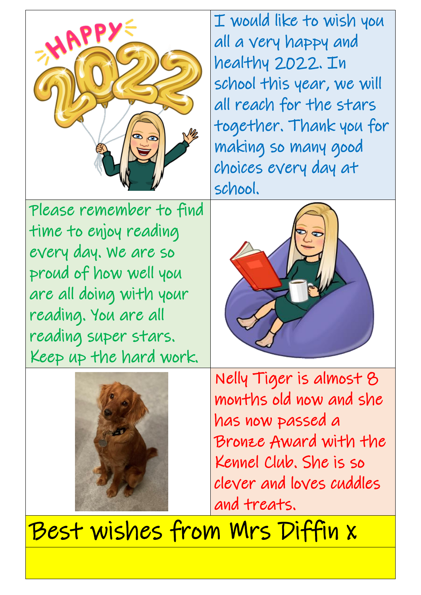

I would like to wish you all a very happy and healthy 2022. In school this year, we will all reach for the stars together. Thank you for making so many good choices every day at school.

Please remember to find time to enjoy reading every day. We are so proud of how well you are all doing with your reading. You are all reading super stars. Keep up the hard work.





Nelly Tiger is almost 8 months old now and she has now passed a Bronze Award with the Kennel Club. She is so clever and loves cuddles and treats.

Best wishes from Mrs Diffin x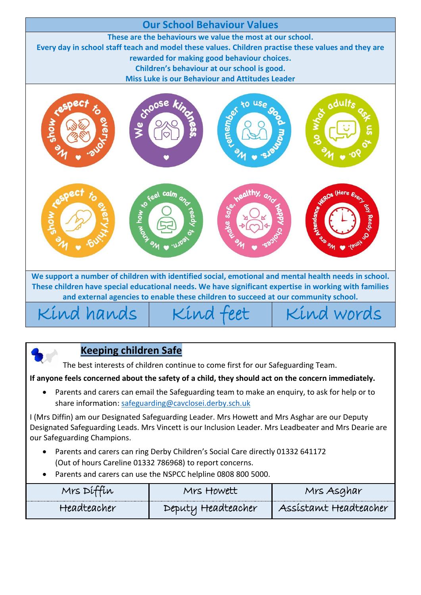

**We support a number of children with identified social, emotional and mental health needs in school. These children have special educational needs. We have significant expertise in working with families and external agencies to enable these children to succeed at our community school.**

 $Kind$  hands  $|$  Kind feet  $|$  Kind words



The best interests of children continue to come first for our Safeguarding Team.

## **If anyone feels concerned about the safety of a child, they should act on the concern immediately.**

 Parents and carers can email the Safeguarding team to make an enquiry, to ask for help or to share information[: safeguarding@cavclosei.derby.sch.uk](mailto:safeguarding@cavclosei.derby.sch.uk)

I (Mrs Diffin) am our Designated Safeguarding Leader. Mrs Howett and Mrs Asghar are our Deputy Designated Safeguarding Leads. Mrs Vincett is our Inclusion Leader. Mrs Leadbeater and Mrs Dearie are our Safeguarding Champions.

- Parents and carers can ring Derby Children's Social Care directly 01332 641172 (Out of hours Careline 01332 786968) to report concerns.
- Parents and carers can use the NSPCC helpline 0808 800 5000.

| Mrs Dit<br>, LW | towett             | Ars Asghar            |
|-----------------|--------------------|-----------------------|
| Headteacher     | Deputy Headteacher | Assistamt Headteacher |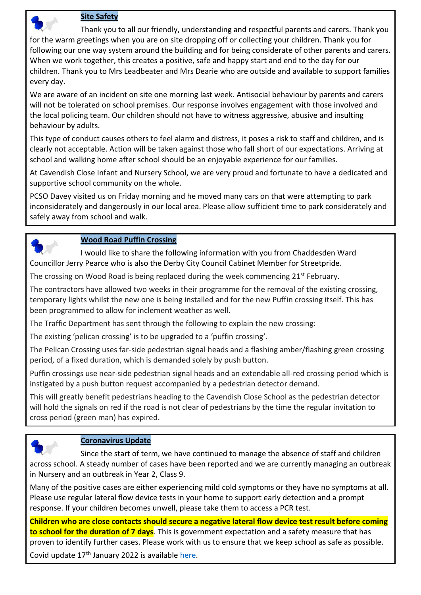

#### **Site Safety**

Thank you to all our friendly, understanding and respectful parents and carers. Thank you for the warm greetings when you are on site dropping off or collecting your children. Thank you for following our one way system around the building and for being considerate of other parents and carers. When we work together, this creates a positive, safe and happy start and end to the day for our children. Thank you to Mrs Leadbeater and Mrs Dearie who are outside and available to support families every day.

We are aware of an incident on site one morning last week. Antisocial behaviour by parents and carers will not be tolerated on school premises. Our response involves engagement with those involved and the local policing team. Our children should not have to witness aggressive, abusive and insulting behaviour by adults.

This type of conduct causes others to feel alarm and distress, it poses a risk to staff and children, and is clearly not acceptable. Action will be taken against those who fall short of our expectations. Arriving at school and walking home after school should be an enjoyable experience for our families.

At Cavendish Close Infant and Nursery School, we are very proud and fortunate to have a dedicated and supportive school community on the whole.

PCSO Davey visited us on Friday morning and he moved many cars on that were attempting to park inconsiderately and dangerously in our local area. Please allow sufficient time to park considerately and safely away from school and walk.



## **Wood Road Puffin Crossing**

I would like to share the following information with you from Chaddesden Ward Councillor Jerry Pearce who is also the Derby City Council Cabinet Member for Streetpride.

The crossing on Wood Road is being replaced during the week commencing 21<sup>st</sup> February.

The contractors have allowed two weeks in their programme for the removal of the existing crossing, temporary lights whilst the new one is being installed and for the new Puffin crossing itself. This has been programmed to allow for inclement weather as well.

The Traffic Department has sent through the following to explain the new crossing:

The existing 'pelican crossing' is to be upgraded to a 'puffin crossing'.

The Pelican Crossing uses far-side pedestrian signal heads and a flashing amber/flashing green crossing period, of a fixed duration, which is demanded solely by push button.

Puffin crossings use near-side pedestrian signal heads and an extendable all-red crossing period which is instigated by a push button request accompanied by a pedestrian detector demand.

This will greatly benefit pedestrians heading to the Cavendish Close School as the pedestrian detector will hold the signals on red if the road is not clear of pedestrians by the time the regular invitation to cross period (green man) has expired.



## **Coronavirus Update**

Since the start of term, we have continued to manage the absence of staff and children across school. A steady number of cases have been reported and we are currently managing an outbreak in Nursery and an outbreak in Year 2, Class 9.

Many of the positive cases are either experiencing mild cold symptoms or they have no symptoms at all. Please use regular lateral flow device tests in your home to support early detection and a prompt response. If your children becomes unwell, please take them to access a PCR test.

**Children who are close contacts should secure a negative lateral flow device test result before coming to school for the duration of 7 days**. This is government expectation and a safety measure that has proven to identify further cases. Please work with us to ensure that we keep school as safe as possible.

Covid update 17<sup>th</sup> January 2022 is available [here.](https://www.cavclosei.derby.sch.uk/wp-content/uploads/2022/01/Coronavirus-Safety-Measures-Jan-221.pdf)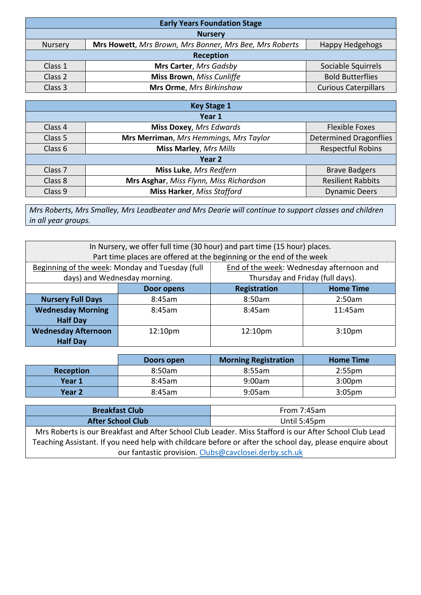| <b>Early Years Foundation Stage</b> |                                                         |                             |
|-------------------------------------|---------------------------------------------------------|-----------------------------|
| <b>Nursery</b>                      |                                                         |                             |
| <b>Nursery</b>                      | Mrs Howett, Mrs Brown, Mrs Bonner, Mrs Bee, Mrs Roberts | <b>Happy Hedgehogs</b>      |
| Reception                           |                                                         |                             |
| Class 1                             | Mrs Carter, Mrs Gadsby                                  | Sociable Squirrels          |
| Class 2                             | <b>Miss Brown</b> , Miss Cunliffe                       | <b>Bold Butterflies</b>     |
| Class 3                             | Mrs Orme, Mrs Birkinshaw                                | <b>Curious Caterpillars</b> |

| <b>Key Stage 1</b> |                                         |                               |
|--------------------|-----------------------------------------|-------------------------------|
| Year 1             |                                         |                               |
| Class 4            | <b>Miss Doxey, Mrs Edwards</b>          | <b>Flexible Foxes</b>         |
| Class 5            | Mrs Merriman, Mrs Hemmings, Mrs Taylor  | <b>Determined Dragonflies</b> |
| Class 6            | <b>Miss Marley, Mrs Mills</b>           | <b>Respectful Robins</b>      |
| Year 2             |                                         |                               |
| Class <sub>7</sub> | Miss Luke, Mrs Redfern                  | <b>Brave Badgers</b>          |
| Class 8            | Mrs Asghar, Miss Flynn, Miss Richardson | <b>Resilient Rabbits</b>      |
| Class 9            | <b>Miss Harker, Miss Stafford</b>       | <b>Dynamic Deers</b>          |

*Mrs Roberts, Mrs Smalley, Mrs Leadbeater and Mrs Dearie will continue to support classes and children in all year groups.*

| In Nursery, we offer full time (30 hour) and part time (15 hour) places.<br>Part time places are offered at the beginning or the end of the week |                     |                                                                              |                    |
|--------------------------------------------------------------------------------------------------------------------------------------------------|---------------------|------------------------------------------------------------------------------|--------------------|
| Beginning of the week: Monday and Tuesday (full<br>days) and Wednesday morning.                                                                  |                     | End of the week: Wednesday afternoon and<br>Thursday and Friday (full days). |                    |
|                                                                                                                                                  | Door opens          | Registration                                                                 | <b>Home Time</b>   |
| <b>Nursery Full Days</b>                                                                                                                         | 8:45am              | 8:50am                                                                       | 2:50am             |
| <b>Wednesday Morning</b><br><b>Half Day</b>                                                                                                      | 8:45am              | 8:45am                                                                       | 11:45am            |
| <b>Wednesday Afternoon</b><br><b>Half Day</b>                                                                                                    | 12:10 <sub>pm</sub> | 12:10 <sub>pm</sub>                                                          | 3:10 <sub>pm</sub> |

|                  | Doors open | <b>Morning Registration</b> | <b>Home Time</b>   |
|------------------|------------|-----------------------------|--------------------|
| <b>Reception</b> | 8:50am     | 8:55am                      | 2:55 <sub>pm</sub> |
| Year 1           | 8:45am     | 9:00am                      | 3:00 <sub>pm</sub> |
| Year 2           | 8:45am     | 9:05am                      | 3:05 <sub>pm</sub> |

| <b>Breakfast Club</b>    | From 7:45am  |
|--------------------------|--------------|
| <b>After School Club</b> | Until 5:45pm |

Mrs Roberts is our Breakfast and After School Club Leader. Miss Stafford is our After School Club Lead Teaching Assistant. If you need help with childcare before or after the school day, please enquire about our fantastic provision. [Clubs@cavclosei.derby.sch.uk](mailto:Clubs@cavclosei.derby.sch.uk)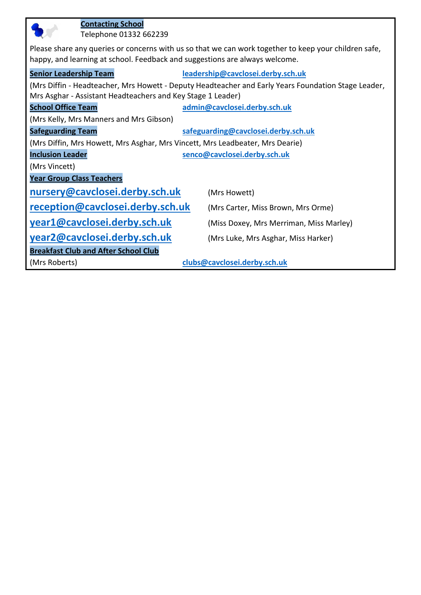| <b>Contacting School</b><br>Telephone 01332 662239                                                    |                                                                                                     |  |
|-------------------------------------------------------------------------------------------------------|-----------------------------------------------------------------------------------------------------|--|
| Please share any queries or concerns with us so that we can work together to keep your children safe, |                                                                                                     |  |
| happy, and learning at school. Feedback and suggestions are always welcome.                           |                                                                                                     |  |
| <b>Senior Leadership Team</b>                                                                         | leadership@cavclosei.derby.sch.uk                                                                   |  |
|                                                                                                       | (Mrs Diffin - Headteacher, Mrs Howett - Deputy Headteacher and Early Years Foundation Stage Leader, |  |
| Mrs Asghar - Assistant Headteachers and Key Stage 1 Leader)                                           |                                                                                                     |  |
| <b>School Office Team</b>                                                                             | admin@cavclosei.derby.sch.uk                                                                        |  |
| (Mrs Kelly, Mrs Manners and Mrs Gibson)                                                               |                                                                                                     |  |
| <b>Safeguarding Team</b>                                                                              | safeguarding@cavclosei.derby.sch.uk                                                                 |  |
| (Mrs Diffin, Mrs Howett, Mrs Asghar, Mrs Vincett, Mrs Leadbeater, Mrs Dearie)                         |                                                                                                     |  |
| <b>Inclusion Leader</b>                                                                               | senco@cavclosei.derby.sch.uk                                                                        |  |
| (Mrs Vincett)                                                                                         |                                                                                                     |  |
| <b>Year Group Class Teachers</b>                                                                      |                                                                                                     |  |
| nursery@cavclosei.derby.sch.uk                                                                        | (Mrs Howett)                                                                                        |  |
| reception@cavclosei.derby.sch.uk                                                                      | (Mrs Carter, Miss Brown, Mrs Orme)                                                                  |  |
| year1@cavclosei.derby.sch.uk                                                                          | (Miss Doxey, Mrs Merriman, Miss Marley)                                                             |  |
| year2@cavclosei.derby.sch.uk<br>(Mrs Luke, Mrs Asghar, Miss Harker)                                   |                                                                                                     |  |
| <b>Breakfast Club and After School Club</b>                                                           |                                                                                                     |  |
| (Mrs Roberts)                                                                                         | clubs@cavclosei.derby.sch.uk                                                                        |  |